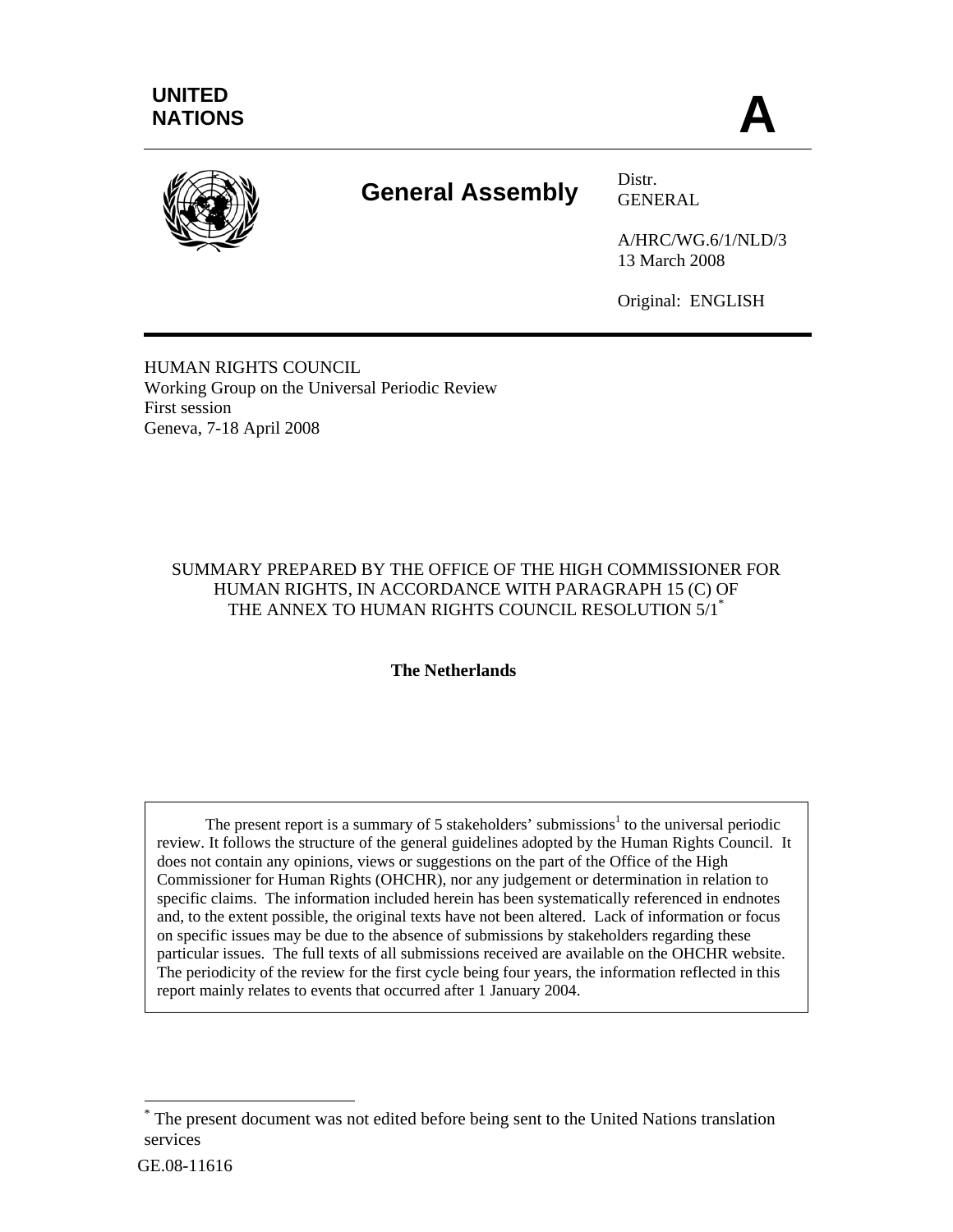

# **General Assembly** Distr.

GENERAL

A/HRC/WG.6/1/NLD/3 13 March 2008

Original: ENGLISH

HUMAN RIGHTS COUNCIL Working Group on the Universal Periodic Review First session Geneva, 7-18 April 2008

### SUMMARY PREPARED BY THE OFFICE OF THE HIGH COMMISSIONER FOR HUMAN RIGHTS, IN ACCORDANCE WITH PARAGRAPH 15 (C) OF THE ANNEX TO HUMAN RIGHTS COUNCIL RESOLUTION 5/1<sup>\*</sup>

#### **The Netherlands**

The present report is a summary of 5 stakeholders' submissions<sup>1</sup> to the universal periodic review. It follows the structure of the general guidelines adopted by the Human Rights Council. It does not contain any opinions, views or suggestions on the part of the Office of the High Commissioner for Human Rights (OHCHR), nor any judgement or determination in relation to specific claims. The information included herein has been systematically referenced in endnotes and, to the extent possible, the original texts have not been altered. Lack of information or focus on specific issues may be due to the absence of submissions by stakeholders regarding these particular issues. The full texts of all submissions received are available on the OHCHR website. The periodicity of the review for the first cycle being four years, the information reflected in this report mainly relates to events that occurred after 1 January 2004.

l

<sup>\*</sup> The present document was not edited before being sent to the United Nations translation services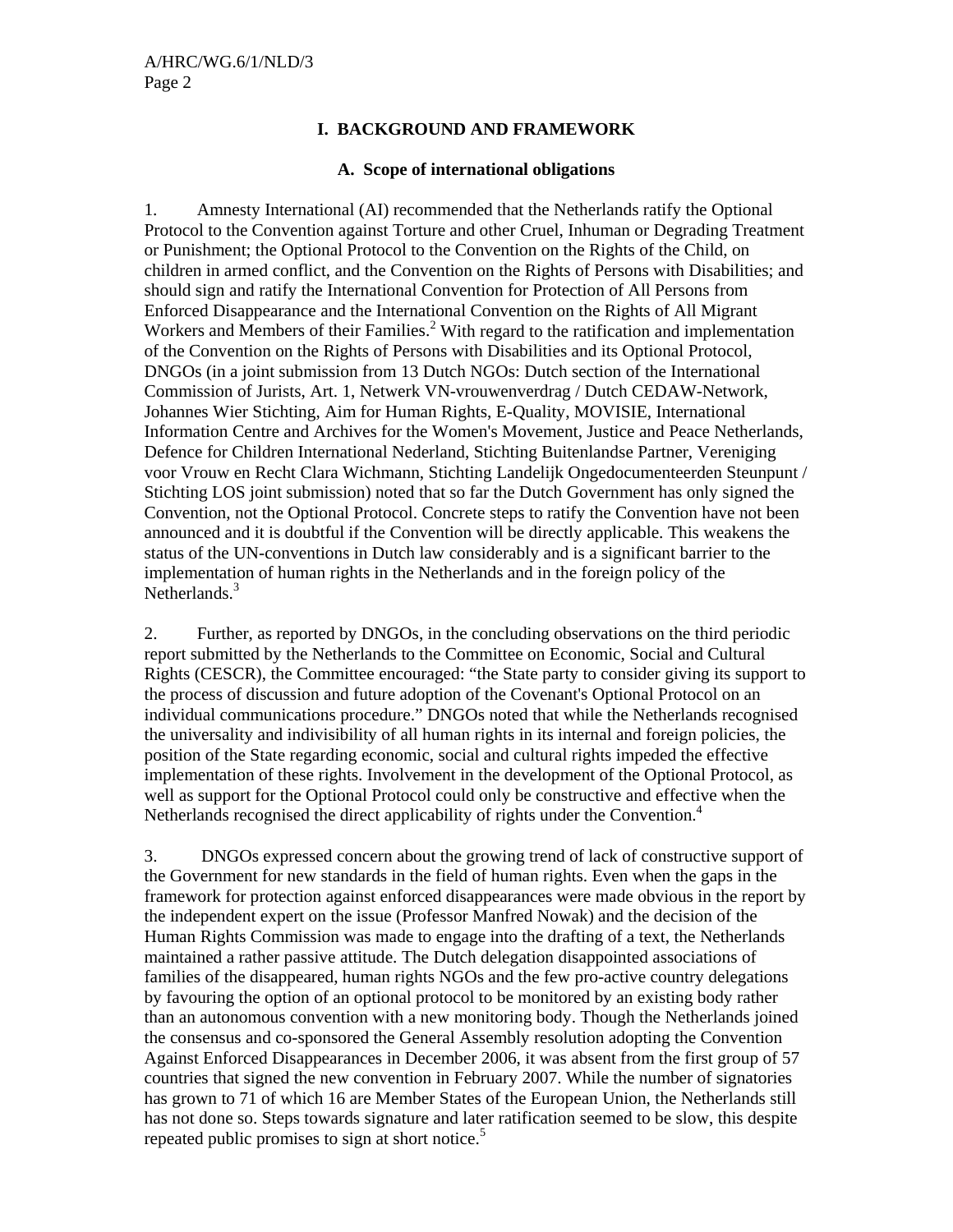#### **I. BACKGROUND AND FRAMEWORK**

#### **A. Scope of international obligations**

1. Amnesty International (AI) recommended that the Netherlands ratify the Optional Protocol to the Convention against Torture and other Cruel, Inhuman or Degrading Treatment or Punishment; the Optional Protocol to the Convention on the Rights of the Child, on children in armed conflict, and the Convention on the Rights of Persons with Disabilities; and should sign and ratify the International Convention for Protection of All Persons from Enforced Disappearance and the International Convention on the Rights of All Migrant Workers and Members of their Families.<sup>2</sup> With regard to the ratification and implementation of the Convention on the Rights of Persons with Disabilities and its Optional Protocol, DNGOs (in a joint submission from 13 Dutch NGOs: Dutch section of the International Commission of Jurists, Art. 1, Netwerk VN-vrouwenverdrag / Dutch CEDAW-Network, Johannes Wier Stichting, Aim for Human Rights, E-Quality, MOVISIE, International Information Centre and Archives for the Women's Movement, Justice and Peace Netherlands, Defence for Children International Nederland, Stichting Buitenlandse Partner, Vereniging voor Vrouw en Recht Clara Wichmann, Stichting Landelijk Ongedocumenteerden Steunpunt / Stichting LOS joint submission) noted that so far the Dutch Government has only signed the Convention, not the Optional Protocol. Concrete steps to ratify the Convention have not been announced and it is doubtful if the Convention will be directly applicable. This weakens the status of the UN-conventions in Dutch law considerably and is a significant barrier to the implementation of human rights in the Netherlands and in the foreign policy of the Netherlands.<sup>3</sup>

2. Further, as reported by DNGOs, in the concluding observations on the third periodic report submitted by the Netherlands to the Committee on Economic, Social and Cultural Rights (CESCR), the Committee encouraged: "the State party to consider giving its support to the process of discussion and future adoption of the Covenant's Optional Protocol on an individual communications procedure." DNGOs noted that while the Netherlands recognised the universality and indivisibility of all human rights in its internal and foreign policies, the position of the State regarding economic, social and cultural rights impeded the effective implementation of these rights. Involvement in the development of the Optional Protocol, as well as support for the Optional Protocol could only be constructive and effective when the Netherlands recognised the direct applicability of rights under the Convention.<sup>4</sup>

3. DNGOs expressed concern about the growing trend of lack of constructive support of the Government for new standards in the field of human rights. Even when the gaps in the framework for protection against enforced disappearances were made obvious in the report by the independent expert on the issue (Professor Manfred Nowak) and the decision of the Human Rights Commission was made to engage into the drafting of a text, the Netherlands maintained a rather passive attitude. The Dutch delegation disappointed associations of families of the disappeared, human rights NGOs and the few pro-active country delegations by favouring the option of an optional protocol to be monitored by an existing body rather than an autonomous convention with a new monitoring body. Though the Netherlands joined the consensus and co-sponsored the General Assembly resolution adopting the Convention Against Enforced Disappearances in December 2006, it was absent from the first group of 57 countries that signed the new convention in February 2007. While the number of signatories has grown to 71 of which 16 are Member States of the European Union, the Netherlands still has not done so. Steps towards signature and later ratification seemed to be slow, this despite repeated public promises to sign at short notice.<sup>5</sup>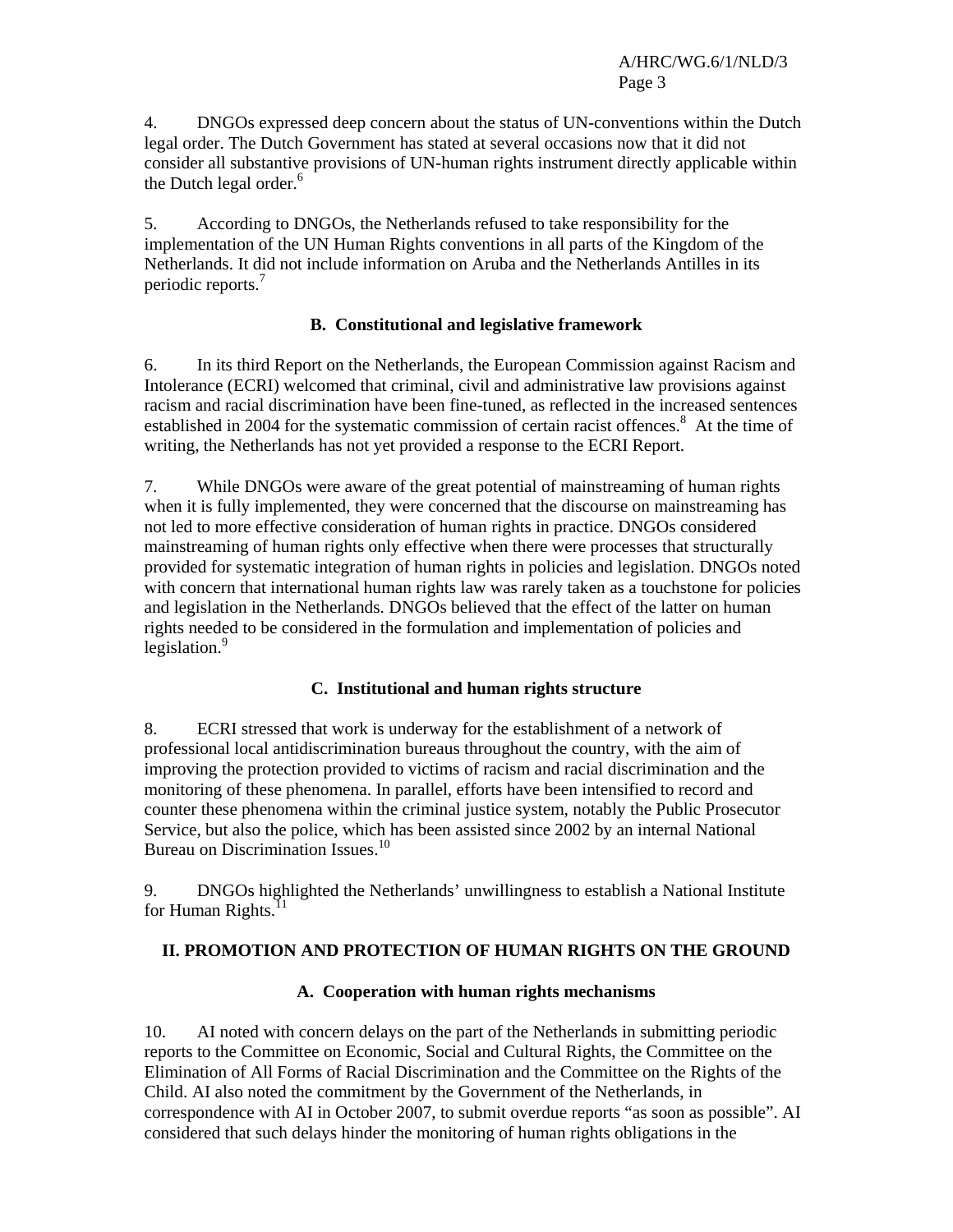4. DNGOs expressed deep concern about the status of UN-conventions within the Dutch legal order. The Dutch Government has stated at several occasions now that it did not consider all substantive provisions of UN-human rights instrument directly applicable within the Dutch legal order.<sup>6</sup>

5. According to DNGOs, the Netherlands refused to take responsibility for the implementation of the UN Human Rights conventions in all parts of the Kingdom of the Netherlands. It did not include information on Aruba and the Netherlands Antilles in its periodic reports.<sup>7</sup>

## **B. Constitutional and legislative framework**

6. In its third Report on the Netherlands, the European Commission against Racism and Intolerance (ECRI) welcomed that criminal, civil and administrative law provisions against racism and racial discrimination have been fine-tuned, as reflected in the increased sentences established in 2004 for the systematic commission of certain racist offences.<sup>8</sup> At the time of writing, the Netherlands has not yet provided a response to the ECRI Report.

7. While DNGOs were aware of the great potential of mainstreaming of human rights when it is fully implemented, they were concerned that the discourse on mainstreaming has not led to more effective consideration of human rights in practice. DNGOs considered mainstreaming of human rights only effective when there were processes that structurally provided for systematic integration of human rights in policies and legislation. DNGOs noted with concern that international human rights law was rarely taken as a touchstone for policies and legislation in the Netherlands. DNGOs believed that the effect of the latter on human rights needed to be considered in the formulation and implementation of policies and legislation.<sup>9</sup>

## **C. Institutional and human rights structure**

8. ECRI stressed that work is underway for the establishment of a network of professional local antidiscrimination bureaus throughout the country, with the aim of improving the protection provided to victims of racism and racial discrimination and the monitoring of these phenomena. In parallel, efforts have been intensified to record and counter these phenomena within the criminal justice system, notably the Public Prosecutor Service, but also the police, which has been assisted since 2002 by an internal National Bureau on Discrimination Issues.10

9. DNGOs highlighted the Netherlands' unwillingness to establish a National Institute for Human Rights. $^{11}$ 

## **II. PROMOTION AND PROTECTION OF HUMAN RIGHTS ON THE GROUND**

## **A. Cooperation with human rights mechanisms**

10. AI noted with concern delays on the part of the Netherlands in submitting periodic reports to the Committee on Economic, Social and Cultural Rights, the Committee on the Elimination of All Forms of Racial Discrimination and the Committee on the Rights of the Child. AI also noted the commitment by the Government of the Netherlands, in correspondence with AI in October 2007, to submit overdue reports "as soon as possible". AI considered that such delays hinder the monitoring of human rights obligations in the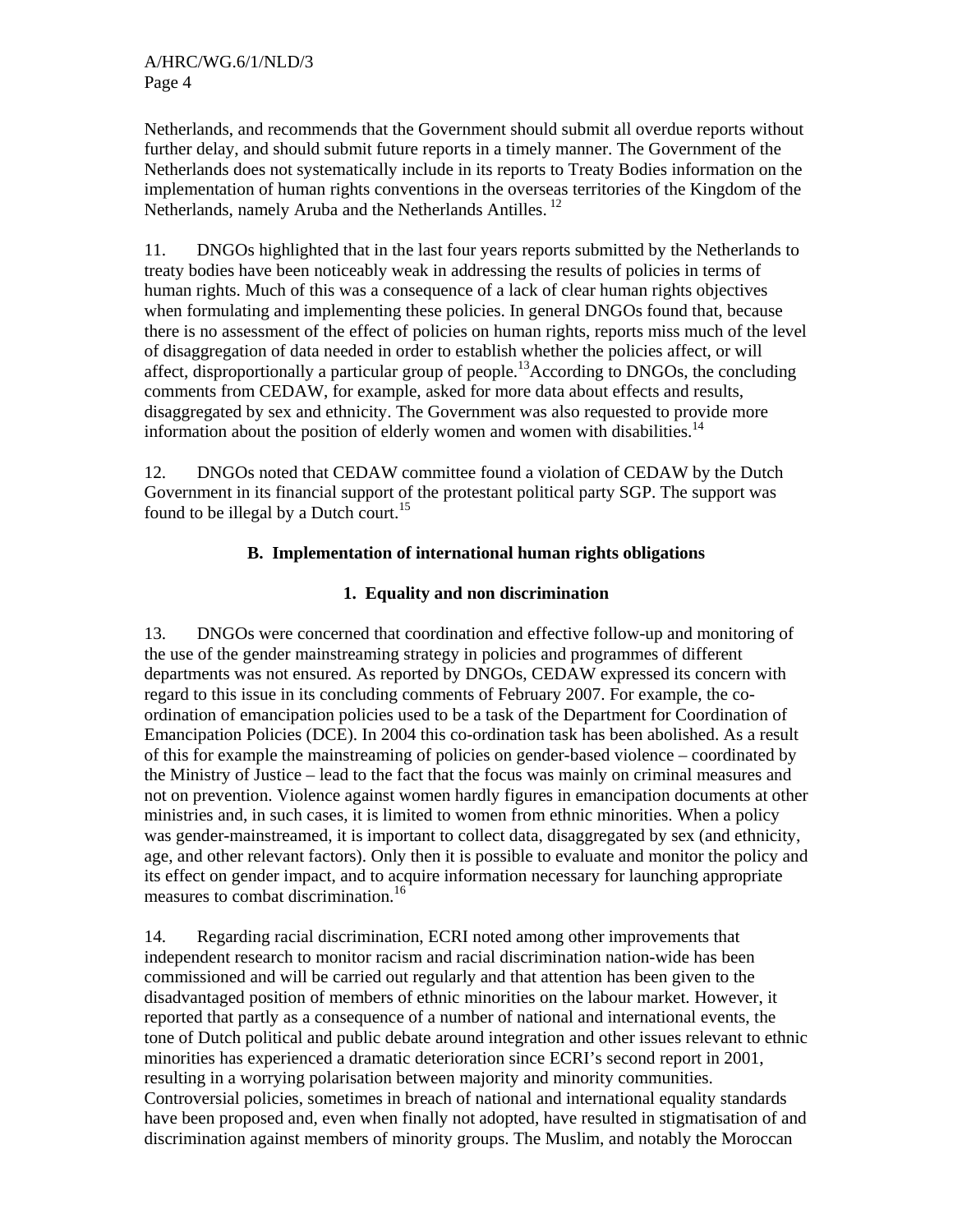Netherlands, and recommends that the Government should submit all overdue reports without further delay, and should submit future reports in a timely manner. The Government of the Netherlands does not systematically include in its reports to Treaty Bodies information on the implementation of human rights conventions in the overseas territories of the Kingdom of the Netherlands, namely Aruba and the Netherlands Antilles.<sup>12</sup>

11. DNGOs highlighted that in the last four years reports submitted by the Netherlands to treaty bodies have been noticeably weak in addressing the results of policies in terms of human rights. Much of this was a consequence of a lack of clear human rights objectives when formulating and implementing these policies. In general DNGOs found that, because there is no assessment of the effect of policies on human rights, reports miss much of the level of disaggregation of data needed in order to establish whether the policies affect, or will affect, disproportionally a particular group of people.<sup>13</sup>According to DNGOs, the concluding comments from CEDAW, for example, asked for more data about effects and results, disaggregated by sex and ethnicity. The Government was also requested to provide more information about the position of elderly women and women with disabilities.<sup>14</sup>

12. DNGOs noted that CEDAW committee found a violation of CEDAW by the Dutch Government in its financial support of the protestant political party SGP. The support was found to be illegal by a Dutch court.<sup>15</sup>

#### **B. Implementation of international human rights obligations**

#### **1. Equality and non discrimination**

13. DNGOs were concerned that coordination and effective follow-up and monitoring of the use of the gender mainstreaming strategy in policies and programmes of different departments was not ensured. As reported by DNGOs, CEDAW expressed its concern with regard to this issue in its concluding comments of February 2007. For example, the coordination of emancipation policies used to be a task of the Department for Coordination of Emancipation Policies (DCE). In 2004 this co-ordination task has been abolished. As a result of this for example the mainstreaming of policies on gender-based violence – coordinated by the Ministry of Justice – lead to the fact that the focus was mainly on criminal measures and not on prevention. Violence against women hardly figures in emancipation documents at other ministries and, in such cases, it is limited to women from ethnic minorities. When a policy was gender-mainstreamed, it is important to collect data, disaggregated by sex (and ethnicity, age, and other relevant factors). Only then it is possible to evaluate and monitor the policy and its effect on gender impact, and to acquire information necessary for launching appropriate measures to combat discrimination.<sup>16</sup>

14. Regarding racial discrimination, ECRI noted among other improvements that independent research to monitor racism and racial discrimination nation-wide has been commissioned and will be carried out regularly and that attention has been given to the disadvantaged position of members of ethnic minorities on the labour market. However, it reported that partly as a consequence of a number of national and international events, the tone of Dutch political and public debate around integration and other issues relevant to ethnic minorities has experienced a dramatic deterioration since ECRI's second report in 2001, resulting in a worrying polarisation between majority and minority communities. Controversial policies, sometimes in breach of national and international equality standards have been proposed and, even when finally not adopted, have resulted in stigmatisation of and discrimination against members of minority groups. The Muslim, and notably the Moroccan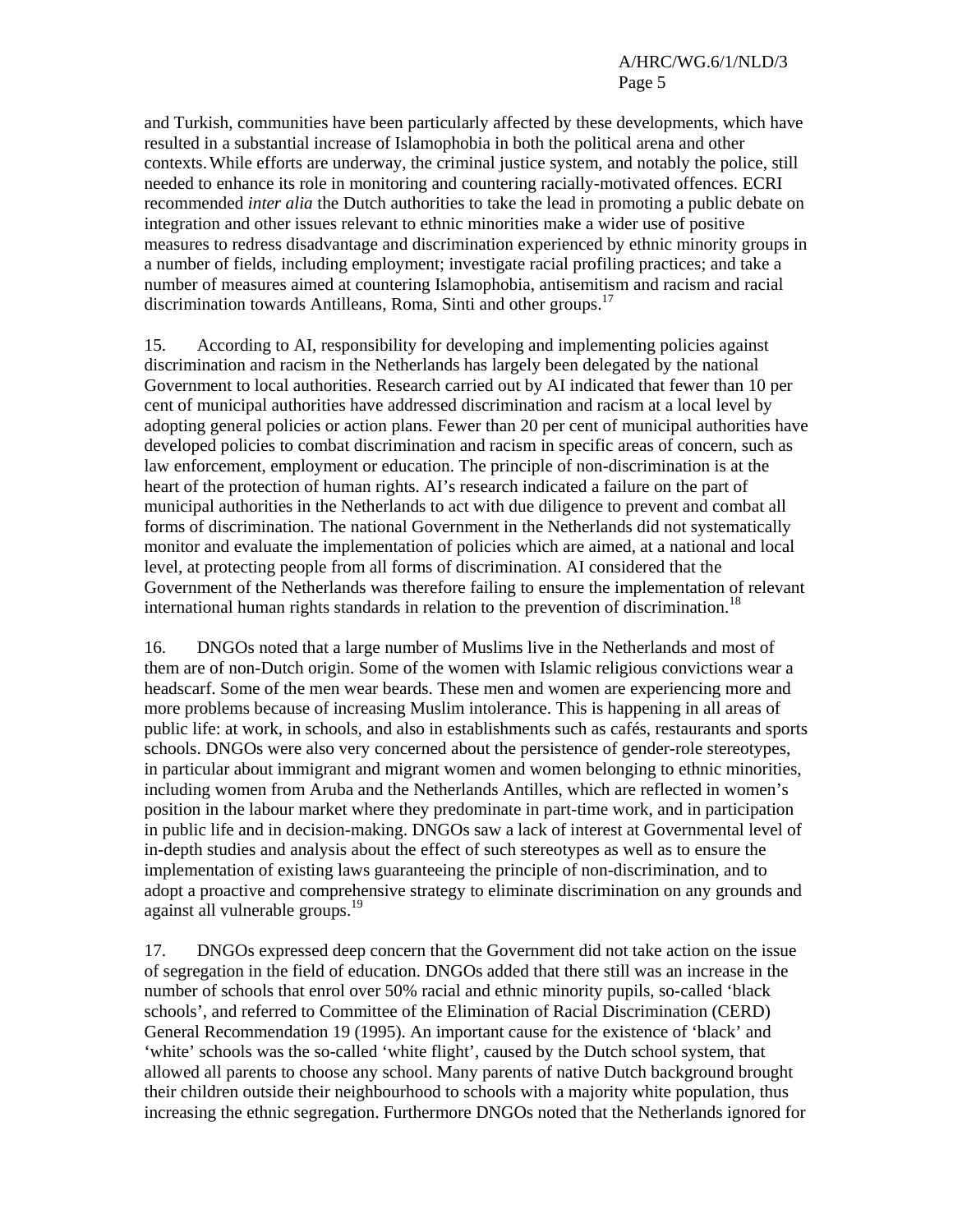and Turkish, communities have been particularly affected by these developments, which have resulted in a substantial increase of Islamophobia in both the political arena and other contexts.While efforts are underway, the criminal justice system, and notably the police, still needed to enhance its role in monitoring and countering racially-motivated offences. ECRI recommended *inter alia* the Dutch authorities to take the lead in promoting a public debate on integration and other issues relevant to ethnic minorities make a wider use of positive measures to redress disadvantage and discrimination experienced by ethnic minority groups in a number of fields, including employment; investigate racial profiling practices; and take a number of measures aimed at countering Islamophobia, antisemitism and racism and racial discrimination towards Antilleans, Roma, Sinti and other groups.<sup>17</sup>

15. According to AI, responsibility for developing and implementing policies against discrimination and racism in the Netherlands has largely been delegated by the national Government to local authorities. Research carried out by AI indicated that fewer than 10 per cent of municipal authorities have addressed discrimination and racism at a local level by adopting general policies or action plans. Fewer than 20 per cent of municipal authorities have developed policies to combat discrimination and racism in specific areas of concern, such as law enforcement, employment or education. The principle of non-discrimination is at the heart of the protection of human rights. AI's research indicated a failure on the part of municipal authorities in the Netherlands to act with due diligence to prevent and combat all forms of discrimination. The national Government in the Netherlands did not systematically monitor and evaluate the implementation of policies which are aimed, at a national and local level, at protecting people from all forms of discrimination. AI considered that the Government of the Netherlands was therefore failing to ensure the implementation of relevant international human rights standards in relation to the prevention of discrimination.<sup>18</sup>

16. DNGOs noted that a large number of Muslims live in the Netherlands and most of them are of non-Dutch origin. Some of the women with Islamic religious convictions wear a headscarf. Some of the men wear beards. These men and women are experiencing more and more problems because of increasing Muslim intolerance. This is happening in all areas of public life: at work, in schools, and also in establishments such as cafés, restaurants and sports schools. DNGOs were also very concerned about the persistence of gender-role stereotypes, in particular about immigrant and migrant women and women belonging to ethnic minorities, including women from Aruba and the Netherlands Antilles, which are reflected in women's position in the labour market where they predominate in part-time work, and in participation in public life and in decision-making. DNGOs saw a lack of interest at Governmental level of in-depth studies and analysis about the effect of such stereotypes as well as to ensure the implementation of existing laws guaranteeing the principle of non-discrimination, and to adopt a proactive and comprehensive strategy to eliminate discrimination on any grounds and against all vulnerable groups.<sup>19</sup>

17. DNGOs expressed deep concern that the Government did not take action on the issue of segregation in the field of education. DNGOs added that there still was an increase in the number of schools that enrol over 50% racial and ethnic minority pupils, so-called 'black schools', and referred to Committee of the Elimination of Racial Discrimination (CERD) General Recommendation 19 (1995). An important cause for the existence of 'black' and 'white' schools was the so-called 'white flight', caused by the Dutch school system, that allowed all parents to choose any school. Many parents of native Dutch background brought their children outside their neighbourhood to schools with a majority white population, thus increasing the ethnic segregation. Furthermore DNGOs noted that the Netherlands ignored for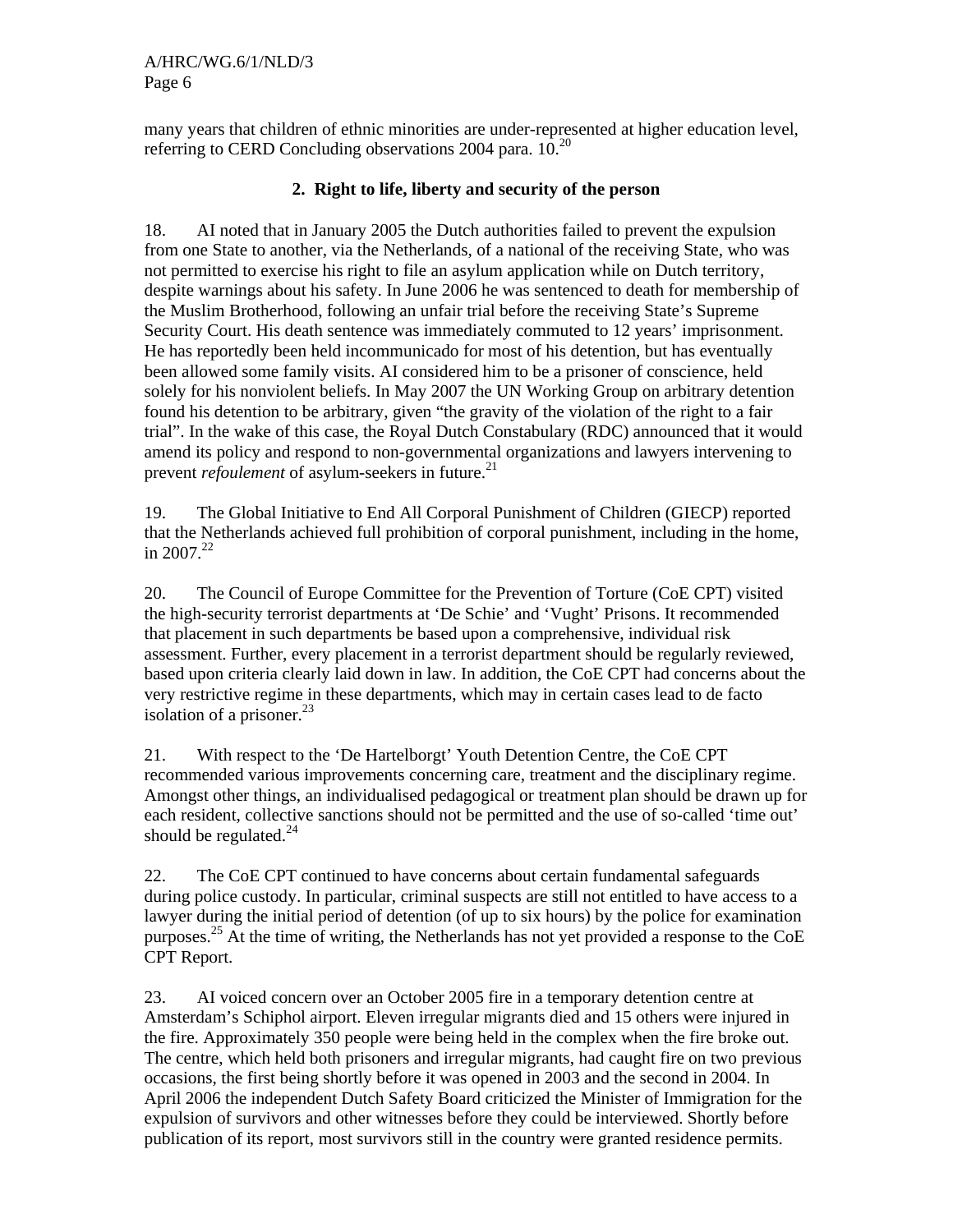many years that children of ethnic minorities are under-represented at higher education level, referring to CERD Concluding observations 2004 para. 10.<sup>20</sup>

#### **2. Right to life, liberty and security of the person**

18. AI noted that in January 2005 the Dutch authorities failed to prevent the expulsion from one State to another, via the Netherlands, of a national of the receiving State, who was not permitted to exercise his right to file an asylum application while on Dutch territory, despite warnings about his safety. In June 2006 he was sentenced to death for membership of the Muslim Brotherhood, following an unfair trial before the receiving State's Supreme Security Court. His death sentence was immediately commuted to 12 years' imprisonment. He has reportedly been held incommunicado for most of his detention, but has eventually been allowed some family visits. AI considered him to be a prisoner of conscience, held solely for his nonviolent beliefs. In May 2007 the UN Working Group on arbitrary detention found his detention to be arbitrary, given "the gravity of the violation of the right to a fair trial". In the wake of this case, the Royal Dutch Constabulary (RDC) announced that it would amend its policy and respond to non-governmental organizations and lawyers intervening to prevent *refoulement* of asylum-seekers in future.<sup>21</sup>

19. The Global Initiative to End All Corporal Punishment of Children (GIECP) reported that the Netherlands achieved full prohibition of corporal punishment, including in the home, in  $2007.<sup>22</sup>$ 

20. The Council of Europe Committee for the Prevention of Torture (CoE CPT) visited the high-security terrorist departments at 'De Schie' and 'Vught' Prisons. It recommended that placement in such departments be based upon a comprehensive, individual risk assessment. Further, every placement in a terrorist department should be regularly reviewed, based upon criteria clearly laid down in law. In addition, the CoE CPT had concerns about the very restrictive regime in these departments, which may in certain cases lead to de facto isolation of a prisoner. $^{23}$ 

21. With respect to the 'De Hartelborgt' Youth Detention Centre, the CoE CPT recommended various improvements concerning care, treatment and the disciplinary regime. Amongst other things, an individualised pedagogical or treatment plan should be drawn up for each resident, collective sanctions should not be permitted and the use of so-called 'time out' should be regulated. $^{24}$ 

22. The CoE CPT continued to have concerns about certain fundamental safeguards during police custody. In particular, criminal suspects are still not entitled to have access to a lawyer during the initial period of detention (of up to six hours) by the police for examination purposes.<sup>25</sup> At the time of writing, the Netherlands has not yet provided a response to the CoE CPT Report.

23. AI voiced concern over an October 2005 fire in a temporary detention centre at Amsterdam's Schiphol airport. Eleven irregular migrants died and 15 others were injured in the fire. Approximately 350 people were being held in the complex when the fire broke out. The centre, which held both prisoners and irregular migrants, had caught fire on two previous occasions, the first being shortly before it was opened in 2003 and the second in 2004. In April 2006 the independent Dutch Safety Board criticized the Minister of Immigration for the expulsion of survivors and other witnesses before they could be interviewed. Shortly before publication of its report, most survivors still in the country were granted residence permits.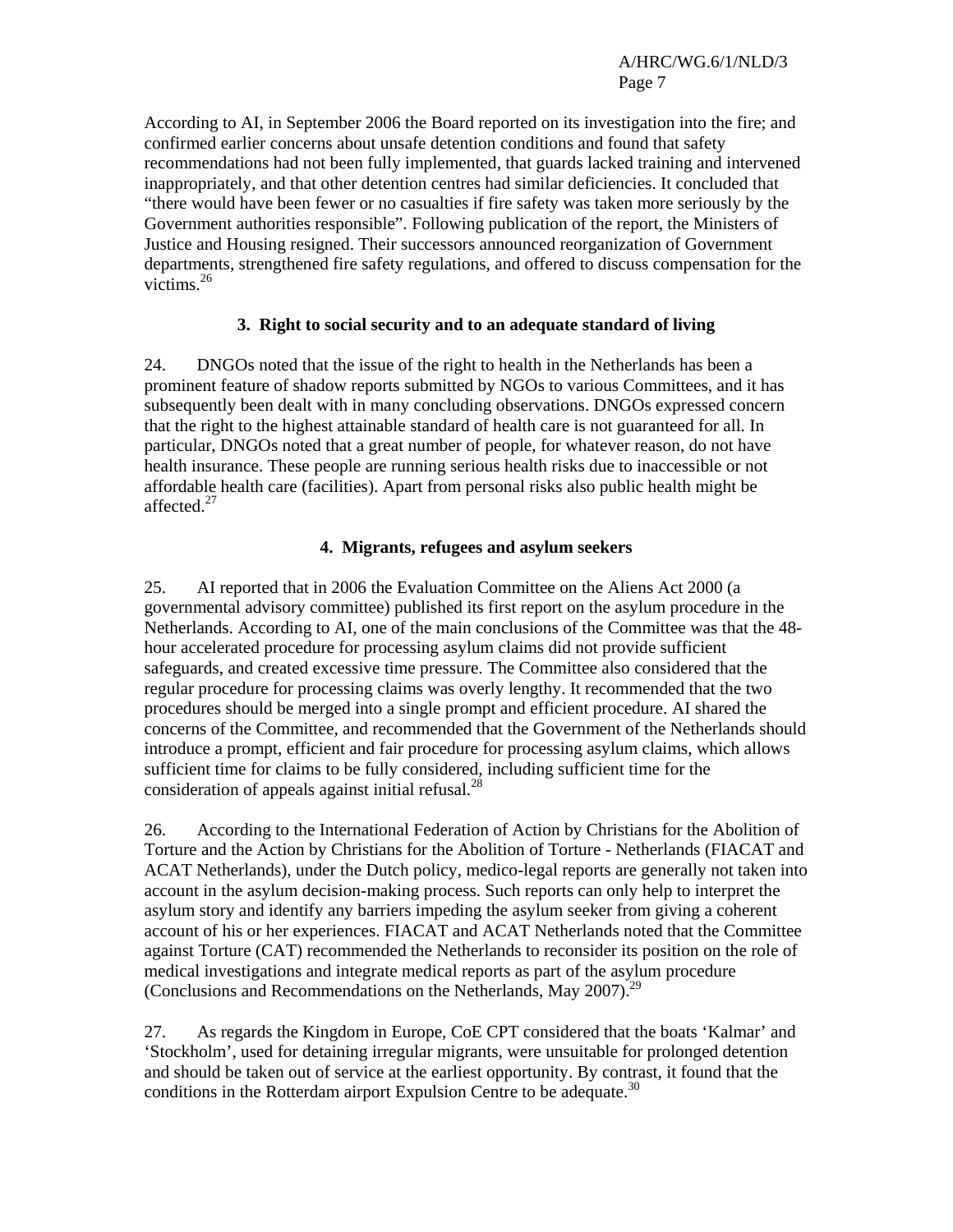According to AI, in September 2006 the Board reported on its investigation into the fire; and confirmed earlier concerns about unsafe detention conditions and found that safety recommendations had not been fully implemented, that guards lacked training and intervened inappropriately, and that other detention centres had similar deficiencies. It concluded that "there would have been fewer or no casualties if fire safety was taken more seriously by the Government authorities responsible". Following publication of the report, the Ministers of Justice and Housing resigned. Their successors announced reorganization of Government departments, strengthened fire safety regulations, and offered to discuss compensation for the victims.<sup>26</sup>

#### **3. Right to social security and to an adequate standard of living**

24. DNGOs noted that the issue of the right to health in the Netherlands has been a prominent feature of shadow reports submitted by NGOs to various Committees, and it has subsequently been dealt with in many concluding observations. DNGOs expressed concern that the right to the highest attainable standard of health care is not guaranteed for all. In particular, DNGOs noted that a great number of people, for whatever reason, do not have health insurance. These people are running serious health risks due to inaccessible or not affordable health care (facilities). Apart from personal risks also public health might be affected.<sup>27</sup>

#### **4. Migrants, refugees and asylum seekers**

25. AI reported that in 2006 the Evaluation Committee on the Aliens Act 2000 (a governmental advisory committee) published its first report on the asylum procedure in the Netherlands. According to AI, one of the main conclusions of the Committee was that the 48 hour accelerated procedure for processing asylum claims did not provide sufficient safeguards, and created excessive time pressure. The Committee also considered that the regular procedure for processing claims was overly lengthy. It recommended that the two procedures should be merged into a single prompt and efficient procedure. AI shared the concerns of the Committee, and recommended that the Government of the Netherlands should introduce a prompt, efficient and fair procedure for processing asylum claims, which allows sufficient time for claims to be fully considered, including sufficient time for the consideration of appeals against initial refusal.<sup>28</sup>

26. According to the International Federation of Action by Christians for the Abolition of Torture and the Action by Christians for the Abolition of Torture - Netherlands (FIACAT and ACAT Netherlands), under the Dutch policy, medico-legal reports are generally not taken into account in the asylum decision-making process. Such reports can only help to interpret the asylum story and identify any barriers impeding the asylum seeker from giving a coherent account of his or her experiences. FIACAT and ACAT Netherlands noted that the Committee against Torture (CAT) recommended the Netherlands to reconsider its position on the role of medical investigations and integrate medical reports as part of the asylum procedure (Conclusions and Recommendations on the Netherlands, May 2007).29

27. As regards the Kingdom in Europe, CoE CPT considered that the boats 'Kalmar' and 'Stockholm', used for detaining irregular migrants, were unsuitable for prolonged detention and should be taken out of service at the earliest opportunity. By contrast, it found that the conditions in the Rotterdam airport Expulsion Centre to be adequate.<sup>30</sup>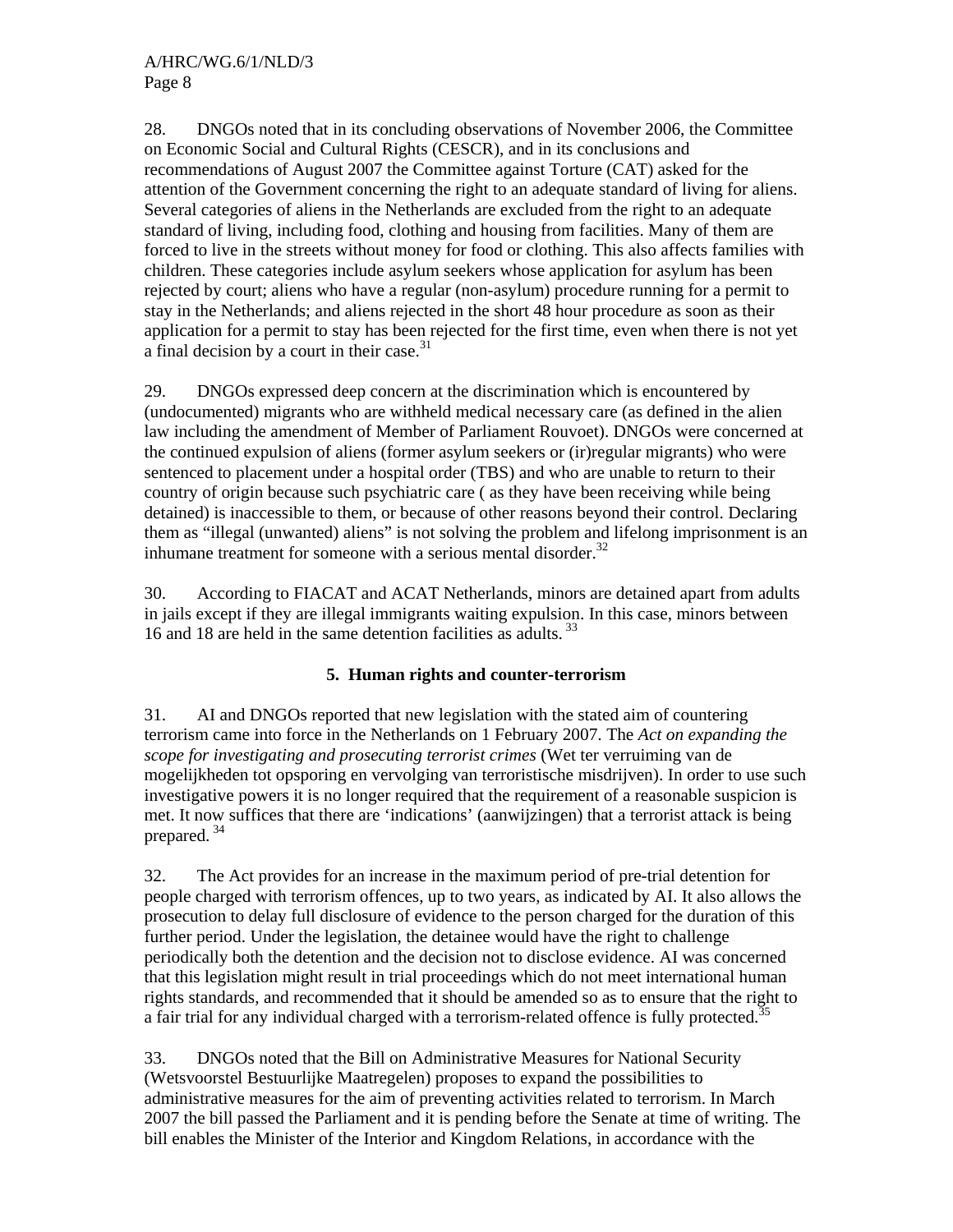28. DNGOs noted that in its concluding observations of November 2006, the Committee on Economic Social and Cultural Rights (CESCR), and in its conclusions and recommendations of August 2007 the Committee against Torture (CAT) asked for the attention of the Government concerning the right to an adequate standard of living for aliens. Several categories of aliens in the Netherlands are excluded from the right to an adequate standard of living, including food, clothing and housing from facilities. Many of them are forced to live in the streets without money for food or clothing. This also affects families with children. These categories include asylum seekers whose application for asylum has been rejected by court; aliens who have a regular (non-asylum) procedure running for a permit to stay in the Netherlands; and aliens rejected in the short 48 hour procedure as soon as their application for a permit to stay has been rejected for the first time, even when there is not yet a final decision by a court in their case.<sup>31</sup>

29. DNGOs expressed deep concern at the discrimination which is encountered by (undocumented) migrants who are withheld medical necessary care (as defined in the alien law including the amendment of Member of Parliament Rouvoet). DNGOs were concerned at the continued expulsion of aliens (former asylum seekers or (ir)regular migrants) who were sentenced to placement under a hospital order (TBS) and who are unable to return to their country of origin because such psychiatric care ( as they have been receiving while being detained) is inaccessible to them, or because of other reasons beyond their control. Declaring them as "illegal (unwanted) aliens" is not solving the problem and lifelong imprisonment is an inhumane treatment for someone with a serious mental disorder.<sup>32</sup>

30. According to FIACAT and ACAT Netherlands, minors are detained apart from adults in jails except if they are illegal immigrants waiting expulsion. In this case, minors between 16 and 18 are held in the same detention facilities as adults. 33

## **5. Human rights and counter-terrorism**

31. AI and DNGOs reported that new legislation with the stated aim of countering terrorism came into force in the Netherlands on 1 February 2007. The *Act on expanding the scope for investigating and prosecuting terrorist crimes* (Wet ter verruiming van de mogelijkheden tot opsporing en vervolging van terroristische misdrijven). In order to use such investigative powers it is no longer required that the requirement of a reasonable suspicion is met. It now suffices that there are 'indications' (aanwijzingen) that a terrorist attack is being prepared. 34

32. The Act provides for an increase in the maximum period of pre-trial detention for people charged with terrorism offences, up to two years, as indicated by AI. It also allows the prosecution to delay full disclosure of evidence to the person charged for the duration of this further period. Under the legislation, the detainee would have the right to challenge periodically both the detention and the decision not to disclose evidence. AI was concerned that this legislation might result in trial proceedings which do not meet international human rights standards, and recommended that it should be amended so as to ensure that the right to a fair trial for any individual charged with a terrorism-related offence is fully protected.<sup>35</sup>

33. DNGOs noted that the Bill on Administrative Measures for National Security (Wetsvoorstel Bestuurlijke Maatregelen) proposes to expand the possibilities to administrative measures for the aim of preventing activities related to terrorism. In March 2007 the bill passed the Parliament and it is pending before the Senate at time of writing. The bill enables the Minister of the Interior and Kingdom Relations, in accordance with the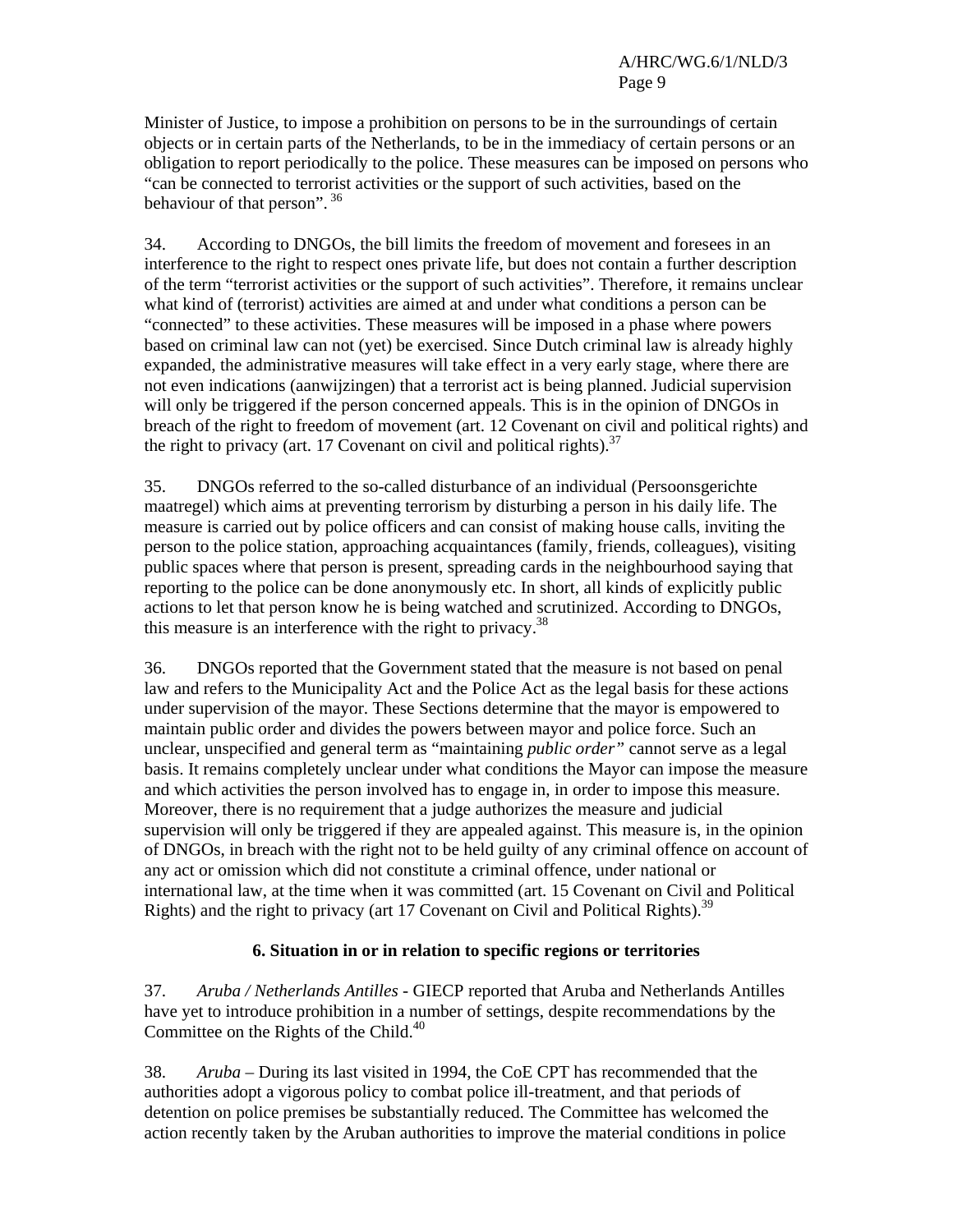Minister of Justice, to impose a prohibition on persons to be in the surroundings of certain objects or in certain parts of the Netherlands, to be in the immediacy of certain persons or an obligation to report periodically to the police. These measures can be imposed on persons who "can be connected to terrorist activities or the support of such activities, based on the behaviour of that person". 36

34. According to DNGOs, the bill limits the freedom of movement and foresees in an interference to the right to respect ones private life, but does not contain a further description of the term "terrorist activities or the support of such activities". Therefore, it remains unclear what kind of (terrorist) activities are aimed at and under what conditions a person can be "connected" to these activities. These measures will be imposed in a phase where powers based on criminal law can not (yet) be exercised. Since Dutch criminal law is already highly expanded, the administrative measures will take effect in a very early stage, where there are not even indications (aanwijzingen) that a terrorist act is being planned. Judicial supervision will only be triggered if the person concerned appeals. This is in the opinion of DNGOs in breach of the right to freedom of movement (art. 12 Covenant on civil and political rights) and the right to privacy (art. 17 Covenant on civil and political rights).<sup>37</sup>

35. DNGOs referred to the so-called disturbance of an individual (Persoonsgerichte maatregel) which aims at preventing terrorism by disturbing a person in his daily life. The measure is carried out by police officers and can consist of making house calls, inviting the person to the police station, approaching acquaintances (family, friends, colleagues), visiting public spaces where that person is present, spreading cards in the neighbourhood saying that reporting to the police can be done anonymously etc. In short, all kinds of explicitly public actions to let that person know he is being watched and scrutinized. According to DNGOs, this measure is an interference with the right to privacy.<sup>38</sup>

36. DNGOs reported that the Government stated that the measure is not based on penal law and refers to the Municipality Act and the Police Act as the legal basis for these actions under supervision of the mayor. These Sections determine that the mayor is empowered to maintain public order and divides the powers between mayor and police force. Such an unclear, unspecified and general term as "maintaining *public order"* cannot serve as a legal basis. It remains completely unclear under what conditions the Mayor can impose the measure and which activities the person involved has to engage in, in order to impose this measure. Moreover, there is no requirement that a judge authorizes the measure and judicial supervision will only be triggered if they are appealed against. This measure is, in the opinion of DNGOs, in breach with the right not to be held guilty of any criminal offence on account of any act or omission which did not constitute a criminal offence, under national or international law, at the time when it was committed (art. 15 Covenant on Civil and Political Rights) and the right to privacy (art 17 Covenant on Civil and Political Rights).<sup>39</sup>

#### **6. Situation in or in relation to specific regions or territories**

37. *Aruba / Netherlands Antilles* - GIECP reported that Aruba and Netherlands Antilles have yet to introduce prohibition in a number of settings, despite recommendations by the Committee on the Rights of the Child.<sup>40</sup>

38. *Aruba –* During its last visited in 1994, the CoE CPT has recommended that the authorities adopt a vigorous policy to combat police ill-treatment, and that periods of detention on police premises be substantially reduced. The Committee has welcomed the action recently taken by the Aruban authorities to improve the material conditions in police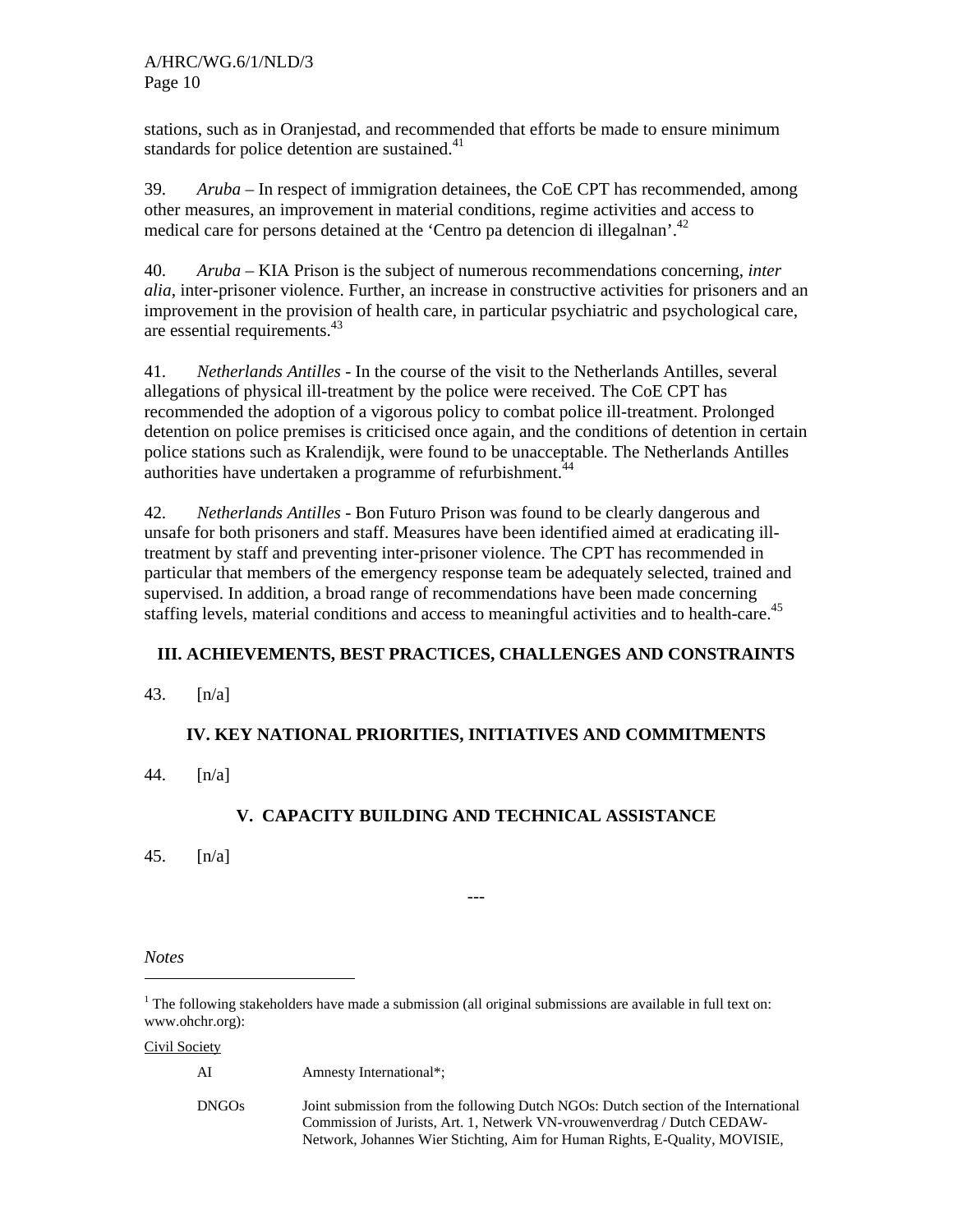stations, such as in Oranjestad, and recommended that efforts be made to ensure minimum standards for police detention are sustained.<sup>41</sup>

39. *Aruba –* In respect of immigration detainees, the CoE CPT has recommended, among other measures, an improvement in material conditions, regime activities and access to medical care for persons detained at the 'Centro pa detencion di illegalnan'.<sup>42</sup>

40. *Aruba –* KIA Prison is the subject of numerous recommendations concerning, *inter alia*, inter-prisoner violence. Further, an increase in constructive activities for prisoners and an improvement in the provision of health care, in particular psychiatric and psychological care, are essential requirements.43

41. *Netherlands Antilles -* In the course of the visit to the Netherlands Antilles, several allegations of physical ill-treatment by the police were received. The CoE CPT has recommended the adoption of a vigorous policy to combat police ill-treatment. Prolonged detention on police premises is criticised once again, and the conditions of detention in certain police stations such as Kralendijk, were found to be unacceptable. The Netherlands Antilles authorities have undertaken a programme of refurbishment.  $44$ 

42. *Netherlands Antilles -* Bon Futuro Prison was found to be clearly dangerous and unsafe for both prisoners and staff. Measures have been identified aimed at eradicating illtreatment by staff and preventing inter-prisoner violence. The CPT has recommended in particular that members of the emergency response team be adequately selected, trained and supervised. In addition, a broad range of recommendations have been made concerning staffing levels, material conditions and access to meaningful activities and to health-care.<sup>45</sup>

## **III. ACHIEVEMENTS, BEST PRACTICES, CHALLENGES AND CONSTRAINTS**

43. [n/a]

## **IV. KEY NATIONAL PRIORITIES, INITIATIVES AND COMMITMENTS**

44. [n/a]

## **V. CAPACITY BUILDING AND TECHNICAL ASSISTANCE**

---

45. [n/a]

*Notes* 

l

Civil Society

AI Amnesty International\*;

DNGOs Joint submission from the following Dutch NGOs: Dutch section of the International Commission of Jurists, Art. 1, Netwerk VN-vrouwenverdrag / Dutch CEDAW-Network, Johannes Wier Stichting, Aim for Human Rights, E-Quality, MOVISIE,

<sup>&</sup>lt;sup>1</sup> The following stakeholders have made a submission (all original submissions are available in full text on: www.ohchr.org):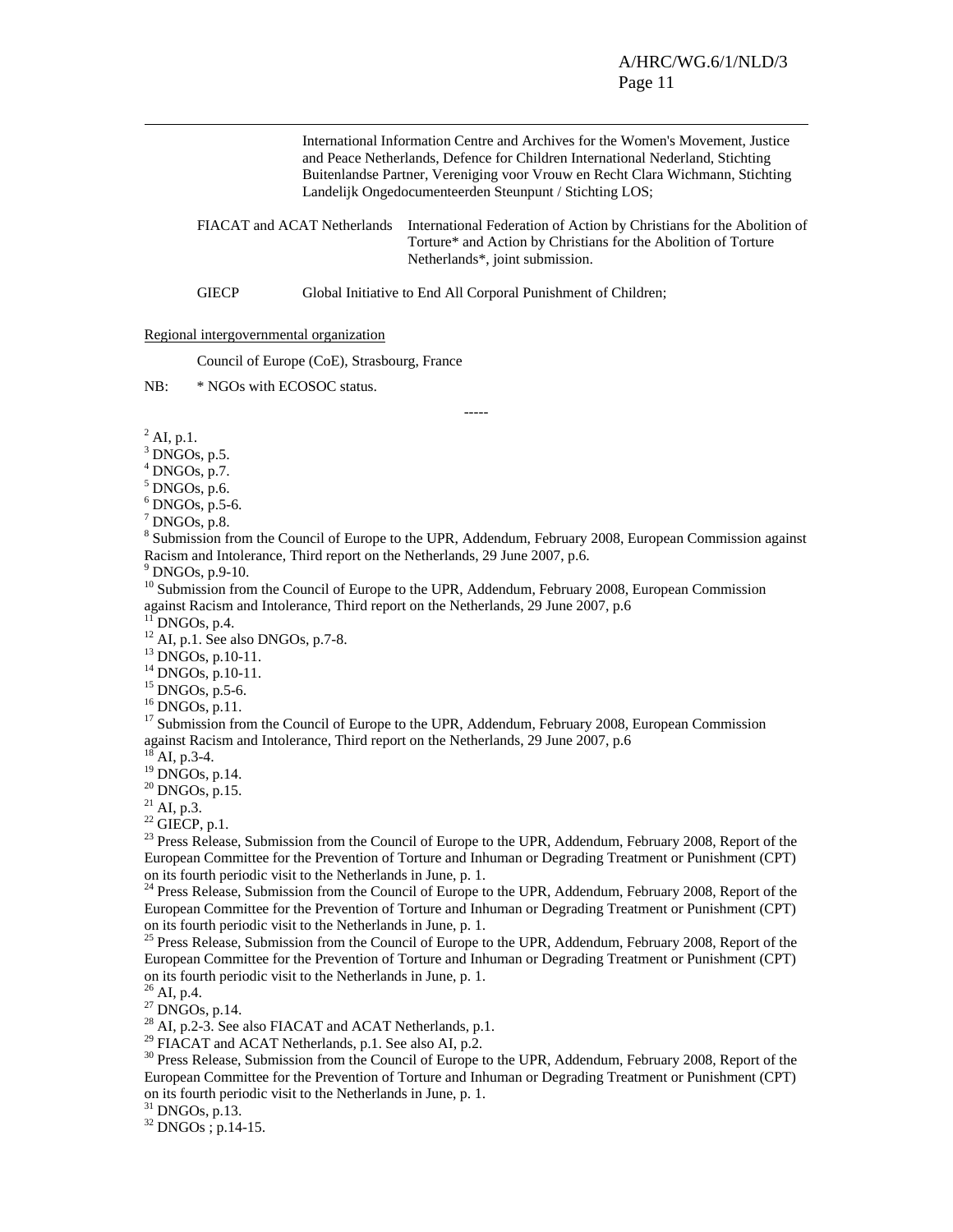International Information Centre and Archives for the Women's Movement, Justice and Peace Netherlands, Defence for Children International Nederland, Stichting Buitenlandse Partner, Vereniging voor Vrouw en Recht Clara Wichmann, Stichting Landelijk Ongedocumenteerden Steunpunt / Stichting LOS;

FIACAT and ACAT Netherlands International Federation of Action by Christians for the Abolition of Torture\* and Action by Christians for the Abolition of Torture Netherlands\*, joint submission.

GIECP Global Initiative to End All Corporal Punishment of Children;

#### Regional intergovernmental organization

Council of Europe (CoE), Strasbourg, France

NB: \* NGOs with ECOSOC status.

-----

 $^{2}$  AI, p.1.

 $3$  DNGOs, p.5.

 $4$  DNGOs, p.7.

 $<sup>5</sup>$  DNGOs, p.6.</sup>

 $6$  DNGOs, p.5-6.

 $^7$  DNGOs, p.8.

<sup>8</sup> Submission from the Council of Europe to the UPR, Addendum, February 2008, European Commission against Racism and Intolerance, Third report on the Netherlands, 29 June 2007, p.6.

 $9$  DNGOs, p.9-10.

<sup>10</sup> Submission from the Council of Europe to the UPR, Addendum, February 2008, European Commission against Racism and Intolerance, Third report on the Netherlands, 29 June 2007, p.6

 $11$  DNGOs, p.4.

 $12$  AI, p.1. See also DNGOs, p.7-8.

13 DNGOs, p.10-11.

14 DNGOs, p.10-11.

15 DNGOs, p.5-6.

16 DNGOs, p.11.

<sup>17</sup> Submission from the Council of Europe to the UPR, Addendum, February 2008, European Commission against Racism and Intolerance, Third report on the Netherlands, 29 June 2007, p.6

AI, p.3-4.

 $^{19}$  DNGOs, p.14.

 $20$  DNGOs, p.15.

 $^{21}$  AI, p.3.

 $22$  GIECP, p.1.

<sup>23</sup> Press Release, Submission from the Council of Europe to the UPR, Addendum, February 2008, Report of the European Committee for the Prevention of Torture and Inhuman or Degrading Treatment or Punishment (CPT) on its fourth periodic visit to the Netherlands in June, p. 1.

<sup>24</sup> Press Release, Submission from the Council of Europe to the UPR, Addendum, February 2008, Report of the European Committee for the Prevention of Torture and Inhuman or Degrading Treatment or Punishment (CPT) on its fourth periodic visit to the Netherlands in June, p. 1.

<sup>25</sup> Press Release, Submission from the Council of Europe to the UPR, Addendum, February 2008, Report of the European Committee for the Prevention of Torture and Inhuman or Degrading Treatment or Punishment (CPT) on its fourth periodic visit to the Netherlands in June, p. 1.

 $^{26}$  AI, p.4.

 $27$  DNGOs, p.14.

<sup>28</sup> AI, p.2-3. See also FIACAT and ACAT Netherlands, p.1.

<sup>29</sup> FIACAT and ACAT Netherlands, p.1. See also AI, p.2.

<sup>30</sup> Press Release, Submission from the Council of Europe to the UPR, Addendum, February 2008, Report of the European Committee for the Prevention of Torture and Inhuman or Degrading Treatment or Punishment (CPT) on its fourth periodic visit to the Netherlands in June, p. 1.

 $31$  DNGOs, p.13.

32 DNGOs ; p.14-15.